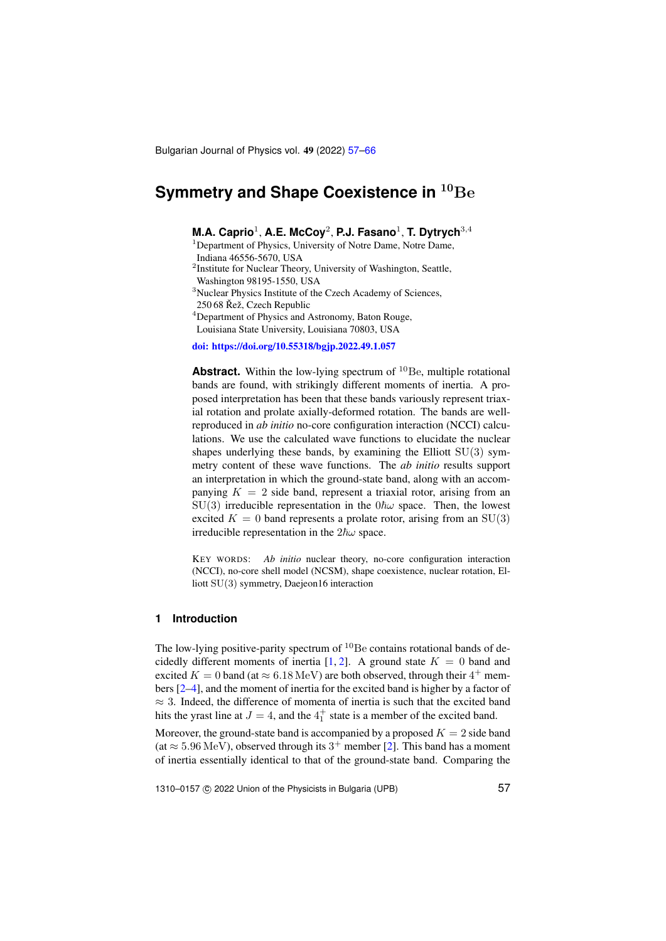Bulgarian Journal of Physics vol. 49 (2022) [57](#page-0-0)[–66](#page-8-0)

# <span id="page-0-0"></span>**Symmetry and Shape Coexistence in**  $^{10}$ **Be**

**M.A. Caprio**<sup>1</sup> , **A.E. McCoy**<sup>2</sup> , **P.J. Fasano**<sup>1</sup> , **T. Dytrych**3,<sup>4</sup>

<sup>1</sup>Department of Physics, University of Notre Dame, Notre Dame,

Indiana 46556-5670, USA

<sup>2</sup>Institute for Nuclear Theory, University of Washington, Seattle, Washington 98195-1550, USA

<sup>3</sup>Nuclear Physics Institute of the Czech Academy of Sciences,

250 68 Řež, Czech Republic

<sup>4</sup>Department of Physics and Astronomy, Baton Rouge,

Louisiana State University, Louisiana 70803, USA

[doi: https://doi.org/10.55318/bgjp.2022.49.1.057](https://doi.org/10.55318/bgjp.2022.49.1.057)

**Abstract.** Within the low-lying spectrum of <sup>10</sup>Be, multiple rotational bands are found, with strikingly different moments of inertia. A proposed interpretation has been that these bands variously represent triaxial rotation and prolate axially-deformed rotation. The bands are wellreproduced in *ab initio* no-core configuration interaction (NCCI) calculations. We use the calculated wave functions to elucidate the nuclear shapes underlying these bands, by examining the Elliott  $SU(3)$  symmetry content of these wave functions. The *ab initio* results support an interpretation in which the ground-state band, along with an accompanying  $K = 2$  side band, represent a triaxial rotor, arising from an SU(3) irreducible representation in the  $0\hbar\omega$  space. Then, the lowest excited  $K = 0$  band represents a prolate rotor, arising from an SU(3) irreducible representation in the  $2\hbar\omega$  space.

KEY WORDS: *Ab initio* nuclear theory, no-core configuration interaction (NCCI), no-core shell model (NCSM), shape coexistence, nuclear rotation, Elliott SU(3) symmetry, Daejeon16 interaction

#### **1 Introduction**

The low-lying positive-parity spectrum of  $^{10}$ Be contains rotational bands of de-cidedly different moments of inertia [\[1,](#page-8-1) [2\]](#page-8-2). A ground state  $K = 0$  band and excited  $K = 0$  band (at  $\approx 6.18 \,\text{MeV}$ ) are both observed, through their  $4^+$  members [\[2–](#page-8-2)[4\]](#page-8-3), and the moment of inertia for the excited band is higher by a factor of  $\approx$  3. Indeed, the difference of momenta of inertia is such that the excited band hits the yrast line at  $J = 4$ , and the  $4<sup>+</sup><sub>1</sub>$  state is a member of the excited band.

Moreover, the ground-state band is accompanied by a proposed  $K = 2$  side band  $(at \approx 5.96 \,\text{MeV})$ , observed through its  $3^+$  member [\[2\]](#page-8-2). This band has a moment of inertia essentially identical to that of the ground-state band. Comparing the

1310–0157 © 2022 Union of the Physicists in Bulgaria (UPB) 57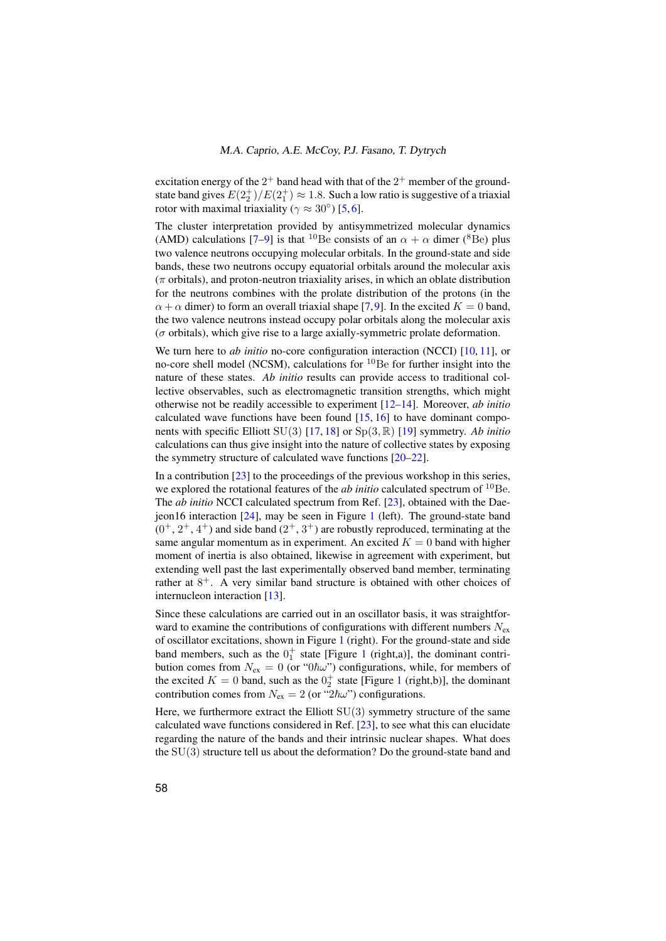excitation energy of the  $2^+$  band head with that of the  $2^+$  member of the groundstate band gives  $E(2^+_2)/E(2^+_1) \approx 1.8$ . Such a low ratio is suggestive of a triaxial rotor with maximal triaxiality ( $\gamma \approx 30^{\circ}$ ) [\[5,](#page-8-4)[6\]](#page-8-5).

The cluster interpretation provided by antisymmetrized molecular dynamics (AMD) calculations [\[7](#page-8-6)[–9\]](#page-8-7) is that <sup>10</sup>Be consists of an  $\alpha + \alpha$  dimer (<sup>8</sup>Be) plus two valence neutrons occupying molecular orbitals. In the ground-state and side bands, these two neutrons occupy equatorial orbitals around the molecular axis  $(\pi$  orbitals), and proton-neutron triaxiality arises, in which an oblate distribution for the neutrons combines with the prolate distribution of the protons (in the  $\alpha + \alpha$  dimer) to form an overall triaxial shape [\[7,](#page-8-6)[9\]](#page-8-7). In the excited  $K = 0$  band, the two valence neutrons instead occupy polar orbitals along the molecular axis ( $\sigma$  orbitals), which give rise to a large axially-symmetric prolate deformation.

We turn here to *ab initio* no-core configuration interaction (NCCI) [\[10,](#page-8-8) [11\]](#page-8-9), or no-core shell model (NCSM), calculations for <sup>10</sup>Be for further insight into the nature of these states. *Ab initio* results can provide access to traditional collective observables, such as electromagnetic transition strengths, which might otherwise not be readily accessible to experiment [\[12–](#page-8-10)[14\]](#page-8-11). Moreover, *ab initio* calculated wave functions have been found  $[15, 16]$  $[15, 16]$  $[15, 16]$  to have dominant components with specific Elliott SU(3) [\[17,](#page-8-14) [18\]](#page-8-15) or Sp(3, R) [\[19\]](#page-8-16) symmetry. *Ab initio* calculations can thus give insight into the nature of collective states by exposing the symmetry structure of calculated wave functions [\[20–](#page-8-17)[22\]](#page-8-18).

In a contribution [\[23\]](#page-8-19) to the proceedings of the previous workshop in this series, we explored the rotational features of the *ab initio* calculated spectrum of <sup>10</sup>Be. The *ab initio* NCCI calculated spectrum from Ref. [\[23\]](#page-8-19), obtained with the Daejeon16 interaction [\[24\]](#page-8-20), may be seen in Figure [1](#page-2-0) (left). The ground-state band  $(0^+, 2^+, 4^+)$  and side band  $(2^+, 3^+)$  are robustly reproduced, terminating at the same angular momentum as in experiment. An excited  $K = 0$  band with higher moment of inertia is also obtained, likewise in agreement with experiment, but extending well past the last experimentally observed band member, terminating rather at  $8^+$ . A very similar band structure is obtained with other choices of internucleon interaction [\[13\]](#page-8-21).

Since these calculations are carried out in an oscillator basis, it was straightforward to examine the contributions of configurations with different numbers  $N_{ex}$ of oscillator excitations, shown in Figure [1](#page-2-0) (right). For the ground-state and side band members, such as the  $0^+_1$  $0^+_1$  state [Figure 1 (right,a)], the dominant contribution comes from  $N_{ex} = 0$  (or " $0/\hbar \omega$ ") configurations, while, for members of the excited  $K = 0$  band, such as the  $0<sub>2</sub><sup>+</sup>$  state [Figure [1](#page-2-0) (right,b)], the dominant contribution comes from  $N_{ex} = 2$  (or " $2\hbar\omega$ ") configurations.

Here, we furthermore extract the Elliott  $SU(3)$  symmetry structure of the same calculated wave functions considered in Ref. [\[23\]](#page-8-19), to see what this can elucidate regarding the nature of the bands and their intrinsic nuclear shapes. What does the SU(3) structure tell us about the deformation? Do the ground-state band and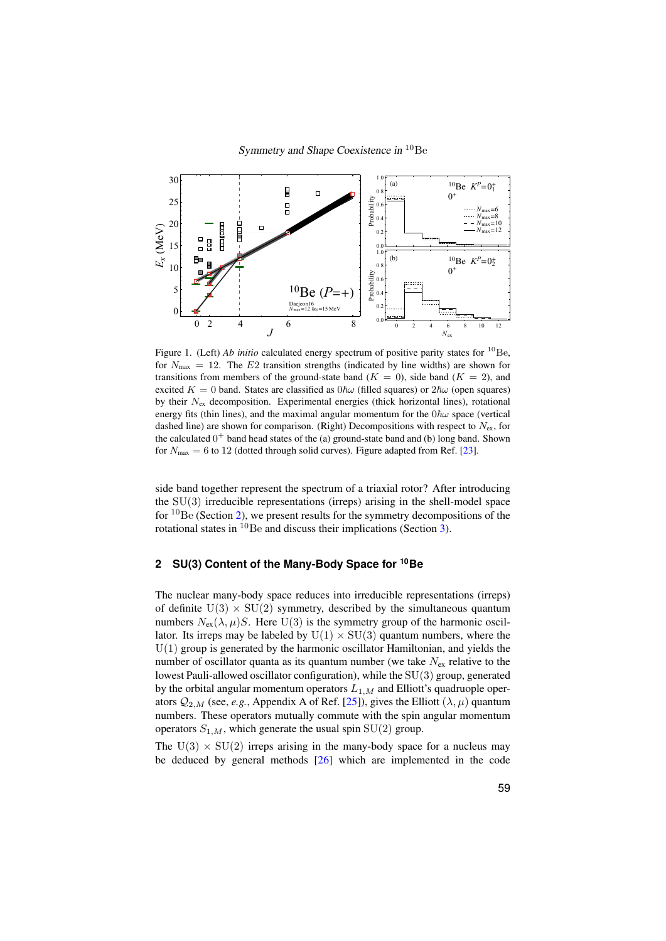

<span id="page-2-0"></span>Figure 1. (Left) *Ab initio* calculated energy spectrum of positive parity states for <sup>10</sup>Be, for  $N_{\text{max}} = 12$ . The E2 transition strengths (indicated by line widths) are shown for transitions from members of the ground-state band ( $K = 0$ ), side band ( $K = 2$ ), and excited  $K = 0$  band. States are classified as  $0\hbar\omega$  (filled squares) or  $2\hbar\omega$  (open squares) by their  $N_{\rm ex}$  decomposition. Experimental energies (thick horizontal lines), rotational energy fits (thin lines), and the maximal angular momentum for the  $0\hbar\omega$  space (vertical dashed line) are shown for comparison. (Right) Decompositions with respect to  $N_{\rm ex}$ , for the calculated  $0^+$  band head states of the (a) ground-state band and (b) long band. Shown for  $N_{\text{max}} = 6$  to 12 (dotted through solid curves). Figure adapted from Ref. [\[23\]](#page-8-19).

side band together represent the spectrum of a triaxial rotor? After introducing the  $SU(3)$  irreducible representations (irreps) arising in the shell-model space for  ${}^{10}$ Be (Section [2\)](#page-2-1), we present results for the symmetry decompositions of the rotational states in  ${}^{10}$ Be and discuss their implications (Section [3\)](#page-5-0).

## <span id="page-2-1"></span>**2 SU(3) Content of the Many-Body Space for <sup>10</sup>Be**

The nuclear many-body space reduces into irreducible representations (irreps) of definite  $U(3) \times SU(2)$  symmetry, described by the simultaneous quantum numbers  $N_{ex}(\lambda, \mu)S$ . Here U(3) is the symmetry group of the harmonic oscillator. Its irreps may be labeled by  $U(1) \times SU(3)$  quantum numbers, where the  $U(1)$  group is generated by the harmonic oscillator Hamiltonian, and yields the number of oscillator quanta as its quantum number (we take  $N_{ex}$  relative to the lowest Pauli-allowed oscillator configuration), while the SU(3) group, generated by the orbital angular momentum operators  $L_{1,M}$  and Elliott's quadruople operators  $Q_{2,M}$  (see, *e.g.*, Appendix A of Ref. [\[25\]](#page-8-22)), gives the Elliott ( $\lambda, \mu$ ) quantum numbers. These operators mutually commute with the spin angular momentum operators  $S_{1,M}$ , which generate the usual spin SU(2) group.

The  $U(3) \times SU(2)$  irreps arising in the many-body space for a nucleus may be deduced by general methods [\[26\]](#page-8-23) which are implemented in the code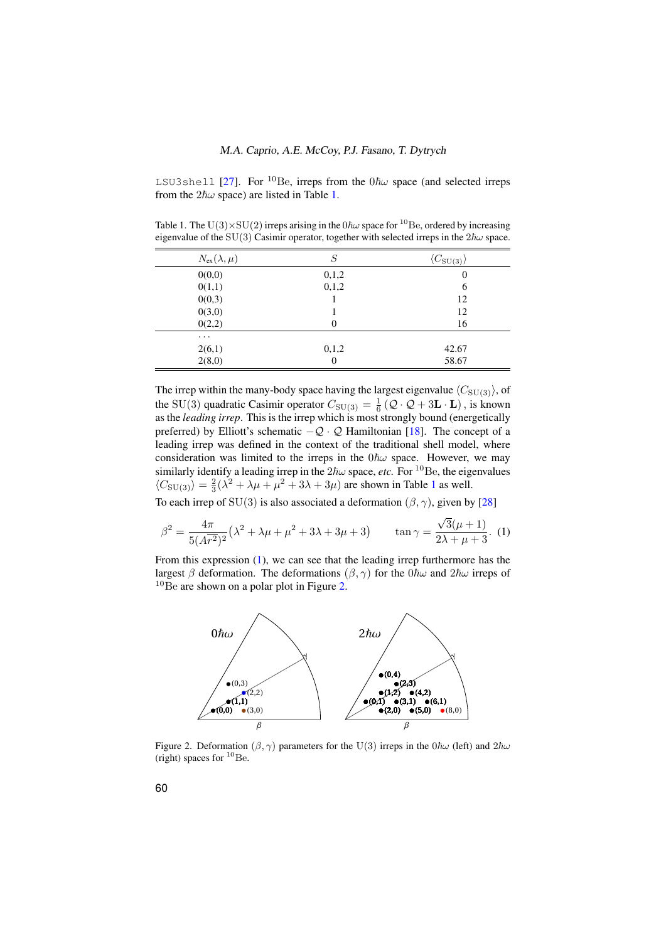LSU3shell [\[27\]](#page-8-24). For <sup>10</sup>Be, irreps from the  $0\hbar\omega$  space (and selected irreps from the  $2\hbar\omega$  space) are listed in Table [1.](#page-3-0)

<span id="page-3-0"></span>Table 1. The U(3)×SU(2) irreps arising in the  $0\hbar\omega$  space for <sup>10</sup>Be, ordered by increasing eigenvalue of the SU(3) Casimir operator, together with selected irreps in the  $2\hbar\omega$  space.

| $N_{\rm ex}(\lambda,\mu)$ | S        | $\langle C_{\rm SU(3)} \rangle$ |
|---------------------------|----------|---------------------------------|
| 0(0,0)                    | 0,1,2    | 0                               |
| 0(1,1)                    | 0,1,2    | 6                               |
| 0(0,3)                    |          | 12                              |
| 0(3,0)                    |          | 12                              |
| 0(2,2)                    | $\theta$ | 16                              |
| $\cdots$                  |          |                                 |
| 2(6,1)                    | 0,1,2    | 42.67                           |
| 2(8,0)                    | 0        | 58.67                           |

The irrep within the many-body space having the largest eigenvalue  $\langle C_{\text{SU(3)}}\rangle$ , of the SU(3) quadratic Casimir operator  $C_{SU(3)} = \frac{1}{6} (Q \cdot Q + 3L \cdot L)$ , is known as the *leading irrep*. This is the irrep which is most strongly bound (energetically preferred) by Elliott's schematic  $-Q \cdot Q$  Hamiltonian [\[18\]](#page-8-15). The concept of a leading irrep was defined in the context of the traditional shell model, where consideration was limited to the irreps in the  $0\hbar\omega$  space. However, we may similarly identify a leading irrep in the  $2\hbar\omega$  space, *etc*. For <sup>10</sup>Be, the eigenvalues  $\langle C_{\rm SU(3)} \rangle = \frac{2}{3}(\lambda^2 + \lambda\mu + \mu^2 + 3\lambda + 3\mu)$  are shown in Table [1](#page-3-0) as well.

To each irrep of SU(3) is also associated a deformation  $(\beta, \gamma)$ , given by [\[28\]](#page-9-0)

<span id="page-3-1"></span>
$$
\beta^2 = \frac{4\pi}{5(\bar{A}r^2)^2} (\lambda^2 + \lambda\mu + \mu^2 + 3\lambda + 3\mu + 3) \qquad \tan \gamma = \frac{\sqrt{3}(\mu + 1)}{2\lambda + \mu + 3}. \tag{1}
$$

From this expression [\(1\)](#page-3-1), we can see that the leading irrep furthermore has the largest β deformation. The deformations  $(\beta, \gamma)$  for the  $0\hbar\omega$  and  $2\hbar\omega$  irreps of  $10$ Be are shown on a polar plot in Figure [2.](#page-3-2)



<span id="page-3-2"></span>Figure 2. Deformation ( $\beta$ ,  $\gamma$ ) parameters for the U(3) irreps in the 0 $\hbar\omega$  (left) and  $2\hbar\omega$ (right) spaces for  ${}^{10}$ Be.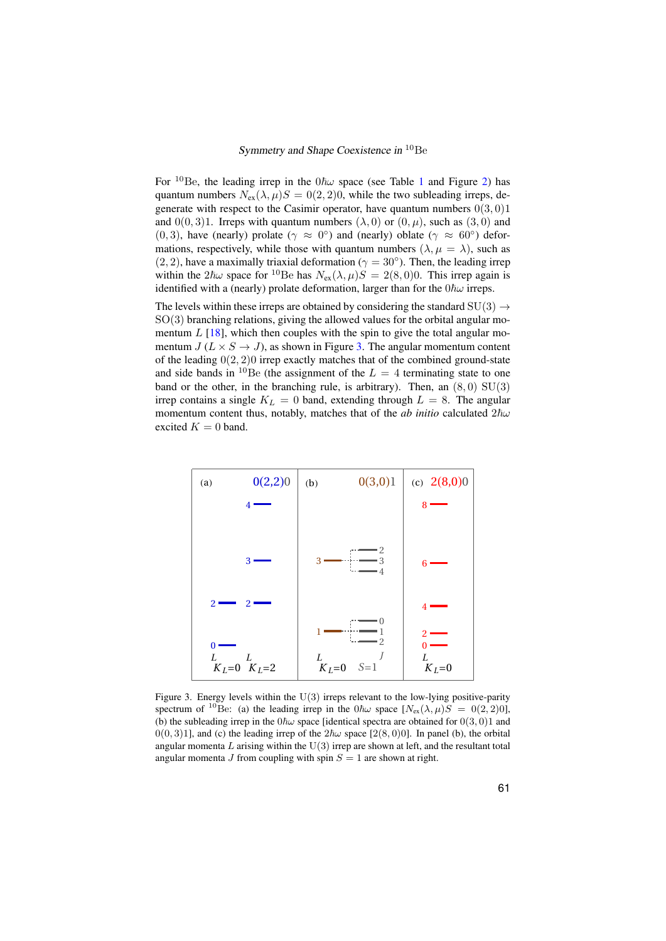For <sup>[1](#page-3-0)0</sup>Be, the leading irrep in the  $0\hbar\omega$  space (see Table 1 and Figure [2\)](#page-3-2) has quantum numbers  $N_{ex}(\lambda, \mu)S = 0(2, 2)0$ , while the two subleading irreps, degenerate with respect to the Casimir operator, have quantum numbers  $0(3, 0)1$ and  $0(0, 3)1$ . Irreps with quantum numbers  $(\lambda, 0)$  or  $(0, \mu)$ , such as  $(3, 0)$  and (0, 3), have (nearly) prolate ( $\gamma \approx 0^{\circ}$ ) and (nearly) oblate ( $\gamma \approx 60^{\circ}$ ) deformations, respectively, while those with quantum numbers  $(\lambda, \mu = \lambda)$ , such as  $(2, 2)$ , have a maximally triaxial deformation ( $\gamma = 30^{\circ}$ ). Then, the leading irrep within the  $2\hbar\omega$  space for <sup>10</sup>Be has  $N_{ex}(\lambda, \mu)S = 2(8, 0)0$ . This irrep again is identified with a (nearly) prolate deformation, larger than for the  $0\hbar\omega$  irreps.

The levels within these irreps are obtained by considering the standard  $SU(3) \rightarrow$  $SO(3)$  branching relations, giving the allowed values for the orbital angular momentum  $L$  [\[18\]](#page-8-15), which then couples with the spin to give the total angular momentum  $J(L \times S \rightarrow J)$ , as shown in Figure [3.](#page-4-0) The angular momentum content of the leading  $0(2, 2)0$  irrep exactly matches that of the combined ground-state and side bands in <sup>10</sup>Be (the assignment of the  $L = 4$  terminating state to one band or the other, in the branching rule, is arbitrary). Then, an  $(8, 0)$  SU $(3)$ irrep contains a single  $K_L = 0$  band, extending through  $L = 8$ . The angular momentum content thus, notably, matches that of the *ab initio* calculated  $2\hbar\omega$ excited  $K = 0$  band.



<span id="page-4-0"></span>Figure 3. Energy levels within the  $U(3)$  irreps relevant to the low-lying positive-parity spectrum of <sup>10</sup>Be: (a) the leading irrep in the  $0\hbar\omega$  space  $[N_{ex}(\lambda,\mu)S] = 0(2,2)0$ , (b) the subleading irrep in the  $0\hbar\omega$  space [identical spectra are obtained for  $0(3, 0)1$  and  $0(0, 3)1$ ], and (c) the leading irrep of the  $2\hbar\omega$  space [2(8, 0)0]. In panel (b), the orbital angular momenta  $L$  arising within the  $U(3)$  irrep are shown at left, and the resultant total angular momenta J from coupling with spin  $S = 1$  are shown at right.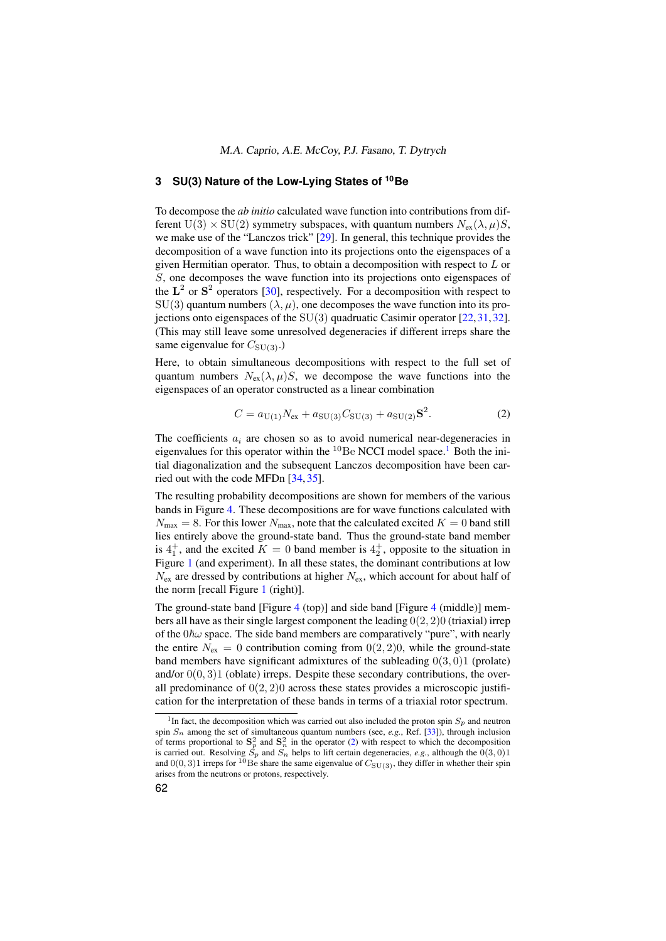# <span id="page-5-0"></span>**3 SU(3) Nature of the Low-Lying States of <sup>10</sup>Be**

To decompose the *ab initio* calculated wave function into contributions from different  $U(3) \times SU(2)$  symmetry subspaces, with quantum numbers  $N_{ex}(\lambda, \mu)S$ , we make use of the "Lanczos trick" [\[29\]](#page-9-1). In general, this technique provides the decomposition of a wave function into its projections onto the eigenspaces of a given Hermitian operator. Thus, to obtain a decomposition with respect to  $L$  or S, one decomposes the wave function into its projections onto eigenspaces of the  $L^2$  or  $S^2$  operators [\[30\]](#page-9-2), respectively. For a decomposition with respect to  $SU(3)$  quantum numbers  $(\lambda, \mu)$ , one decomposes the wave function into its projections onto eigenspaces of the SU(3) quadruatic Casimir operator [\[22,](#page-8-18)[31,](#page-9-3)[32\]](#page-9-4). (This may still leave some unresolved degeneracies if different irreps share the same eigenvalue for  $C_{SU(3)}$ .)

Here, to obtain simultaneous decompositions with respect to the full set of quantum numbers  $N_{ex}(\lambda, \mu)S$ , we decompose the wave functions into the eigenspaces of an operator constructed as a linear combination

<span id="page-5-2"></span>
$$
C = a_{U(1)}N_{ex} + a_{SU(3)}C_{SU(3)} + a_{SU(2)}S^2.
$$
 (2)

The coefficients  $a_i$  are chosen so as to avoid numerical near-degeneracies in eigenvalues for this operator within the  ${}^{10}$  ${}^{10}$  ${}^{10}$ Be NCCI model space.<sup>1</sup> Both the initial diagonalization and the subsequent Lanczos decomposition have been carried out with the code MFDn [\[34,](#page-9-5) [35\]](#page-9-6).

The resulting probability decompositions are shown for members of the various bands in Figure [4.](#page-6-0) These decompositions are for wave functions calculated with  $N_{\text{max}} = 8$ . For this lower  $N_{\text{max}}$ , note that the calculated excited  $K = 0$  band still lies entirely above the ground-state band. Thus the ground-state band member is  $4^+_1$ , and the excited  $K = 0$  band member is  $4^+_2$ , opposite to the situation in Figure [1](#page-2-0) (and experiment). In all these states, the dominant contributions at low  $N_{\rm ex}$  are dressed by contributions at higher  $N_{\rm ex}$ , which account for about half of the norm [recall Figure [1](#page-2-0) (right)].

The ground-state band [Figure [4](#page-6-0) (top)] and side band [Figure [4](#page-6-0) (middle)] members all have as their single largest component the leading  $0(2, 2)0$  (triaxial) irrep of the  $0\hbar\omega$  space. The side band members are comparatively "pure", with nearly the entire  $N_{\text{ex}} = 0$  contribution coming from  $0(2, 2)0$ , while the ground-state band members have significant admixtures of the subleading  $0(3, 0)1$  (prolate) and/or  $0(0, 3)1$  (oblate) irreps. Despite these secondary contributions, the overall predominance of  $0(2, 2)0$  across these states provides a microscopic justification for the interpretation of these bands in terms of a triaxial rotor spectrum.

<span id="page-5-1"></span><sup>&</sup>lt;sup>1</sup>In fact, the decomposition which was carried out also included the proton spin  $S_p$  and neutron spin  $S_n$  among the set of simultaneous quantum numbers (see, *e.g.*, Ref. [\[33\]](#page-9-7)), through inclusion of terms proportional to  $S_p^2$  and  $S_n^2$  in the operator [\(2\)](#page-5-2) with respect to which the decomposition is carried out. Resolving  $S_p$  and  $S_n$  helps to lift certain degeneracies, *e.g.*, although the  $(0,3,0)1$ and  $0(0, 3)1$  irreps for <sup>10</sup>Be share the same eigenvalue of  $C_{SU(3)}$ , they differ in whether their spin arises from the neutrons or protons, respectively.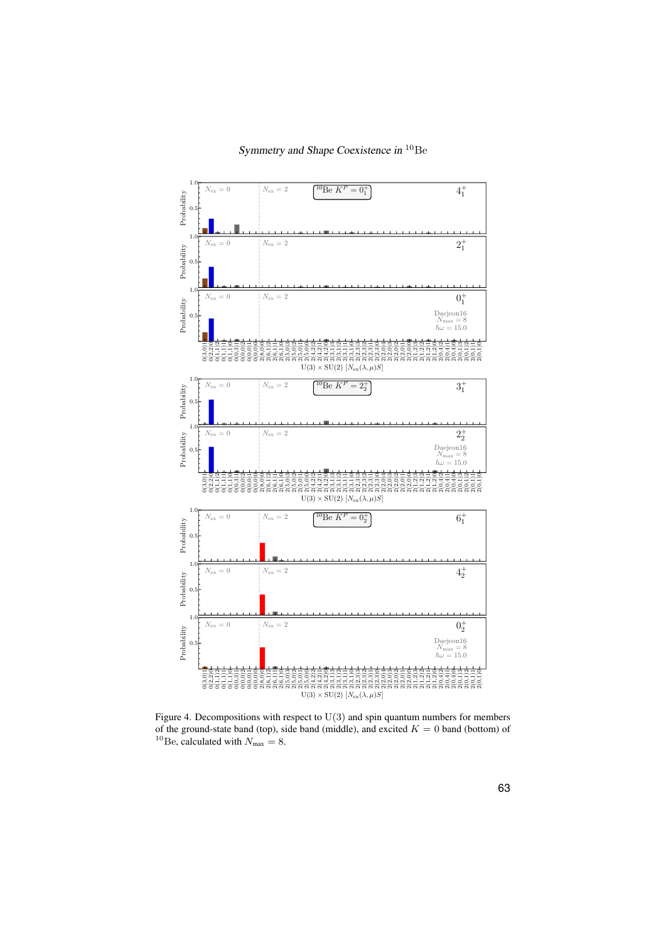

<span id="page-6-0"></span>Figure 4. Decompositions with respect to  $U(3)$  and spin quantum numbers for members of the ground-state band (top), side band (middle), and excited  $K = 0$  band (bottom) of <sup>10</sup>Be, calculated with  $N_{\text{max}} = 8$ .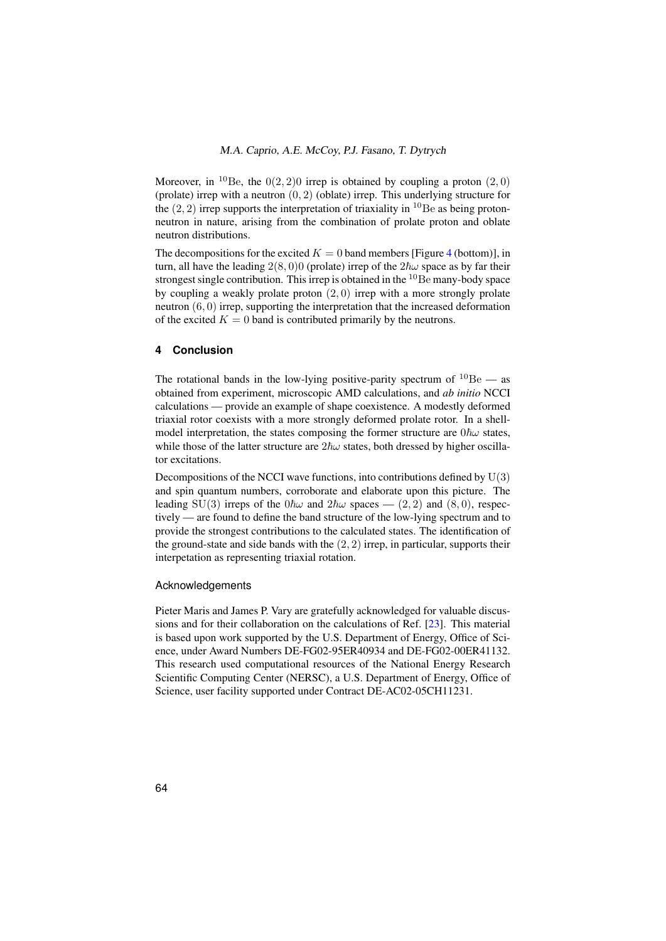Moreover, in <sup>10</sup>Be, the  $0(2, 2)0$  irrep is obtained by coupling a proton  $(2, 0)$ (prolate) irrep with a neutron  $(0, 2)$  (oblate) irrep. This underlying structure for the  $(2, 2)$  irrep supports the interpretation of triaxiality in <sup>10</sup>Be as being protonneutron in nature, arising from the combination of prolate proton and oblate neutron distributions.

The decompositions for the excited  $K = 0$  band members [Figure [4](#page-6-0) (bottom)], in turn, all have the leading  $2(8,0)0$  (prolate) irrep of the  $2\hbar\omega$  space as by far their strongest single contribution. This irrep is obtained in the  $^{10}$ Be many-body space by coupling a weakly prolate proton (2, 0) irrep with a more strongly prolate neutron (6, 0) irrep, supporting the interpretation that the increased deformation of the excited  $K = 0$  band is contributed primarily by the neutrons.

## **4 Conclusion**

The rotational bands in the low-lying positive-parity spectrum of  $^{10}Be$  — as obtained from experiment, microscopic AMD calculations, and *ab initio* NCCI calculations — provide an example of shape coexistence. A modestly deformed triaxial rotor coexists with a more strongly deformed prolate rotor. In a shellmodel interpretation, the states composing the former structure are  $0\hbar\omega$  states, while those of the latter structure are  $2\hbar\omega$  states, both dressed by higher oscillator excitations.

Decompositions of the NCCI wave functions, into contributions defined by  $U(3)$ and spin quantum numbers, corroborate and elaborate upon this picture. The leading SU(3) irreps of the  $0\hbar\omega$  and  $2\hbar\omega$  spaces — (2, 2) and (8, 0), respectively — are found to define the band structure of the low-lying spectrum and to provide the strongest contributions to the calculated states. The identification of the ground-state and side bands with the  $(2, 2)$  irrep, in particular, supports their interpetation as representing triaxial rotation.

## Acknowledgements

Pieter Maris and James P. Vary are gratefully acknowledged for valuable discussions and for their collaboration on the calculations of Ref. [\[23\]](#page-8-19). This material is based upon work supported by the U.S. Department of Energy, Office of Science, under Award Numbers DE-FG02-95ER40934 and DE-FG02-00ER41132. This research used computational resources of the National Energy Research Scientific Computing Center (NERSC), a U.S. Department of Energy, Office of Science, user facility supported under Contract DE-AC02-05CH11231.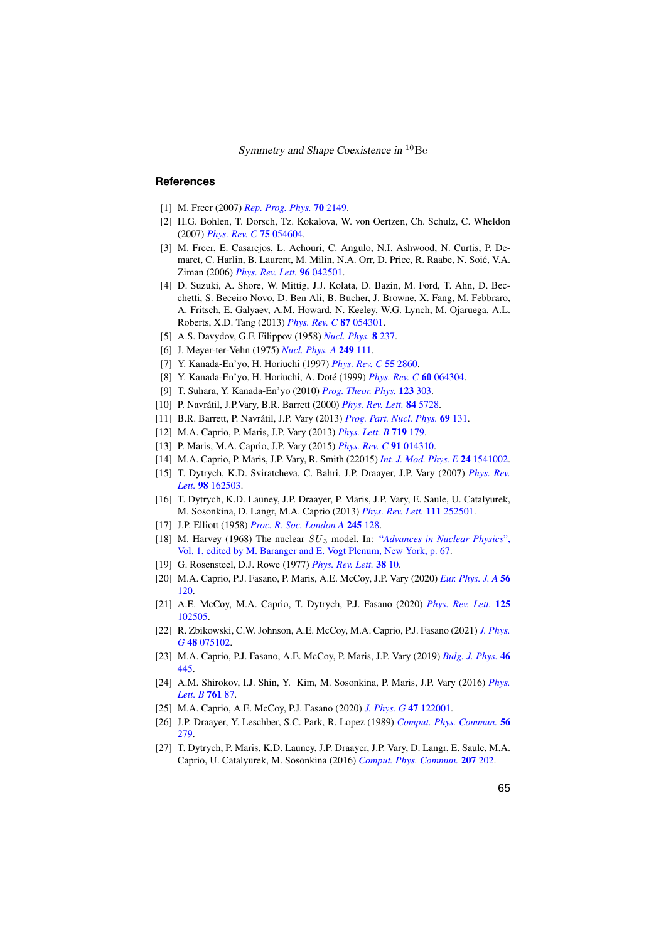Symmetry and Shape Coexistence in <sup>10</sup>Be

#### <span id="page-8-0"></span>**References**

- <span id="page-8-1"></span>[1] M. Freer (2007) *[Rep. Prog. Phys.](https://doi.org/10.1088/0034-4885/70/12/R03)* 70 2149.
- <span id="page-8-2"></span>[2] H.G. Bohlen, T. Dorsch, Tz. Kokalova, W. von Oertzen, Ch. Schulz, C. Wheldon (2007) *[Phys. Rev. C](https://doi.org/10.1103/PhysRevC.75.054604)* 75 054604.
- [3] M. Freer, E. Casarejos, L. Achouri, C. Angulo, N.I. Ashwood, N. Curtis, P. Demaret, C. Harlin, B. Laurent, M. Milin, N.A. Orr, D. Price, R. Raabe, N. Soic, V.A. ´ Ziman (2006) *[Phys. Rev. Lett.](https://doi.org/10.1103/PhysRevLett.96.042501)* 96 042501.
- <span id="page-8-3"></span>[4] D. Suzuki, A. Shore, W. Mittig, J.J. Kolata, D. Bazin, M. Ford, T. Ahn, D. Becchetti, S. Beceiro Novo, D. Ben Ali, B. Bucher, J. Browne, X. Fang, M. Febbraro, A. Fritsch, E. Galyaev, A.M. Howard, N. Keeley, W.G. Lynch, M. Ojaruega, A.L. Roberts, X.D. Tang (2013) *[Phys. Rev. C](https://doi.org/10.1103/PhysRevC.87.054301)* 87 054301.
- <span id="page-8-4"></span>[5] A.S. Davydov, G.F. Filippov (1958) *[Nucl. Phys.](https://doi.org/10.1016/0029-5582(58)90153-6)* 8 237.
- <span id="page-8-5"></span>[6] J. Meyer-ter-Vehn (1975) *[Nucl. Phys. A](https://doi.org/10.1016/0375-9474(75)90095-0)* 249 111.
- <span id="page-8-6"></span>[7] Y. Kanada-En'yo, H. Horiuchi (1997) *[Phys. Rev. C](https://doi.org/10.1103/PhysRevC.55.2860)* 55 2860.
- [8] Y. Kanada-En'yo, H. Horiuchi, A. Doté (1999) *[Phys. Rev. C](https://doi.org/10.1103/PhysRevC.60.064304)* 60 064304.
- <span id="page-8-7"></span>[9] T. Suhara, Y. Kanada-En'yo (2010) *[Prog. Theor. Phys.](https://doi.org/10.1143/PTP.123.303)* 123 303.
- <span id="page-8-8"></span>[10] P. Navrátil, J.P.Vary, B.R. Barrett (2000) *[Phys. Rev. Lett.](https://doi.org/10.1103/PhysRevLett.84.5728)* 84 5728.
- <span id="page-8-9"></span>[11] B.R. Barrett, P. Navrátil, J.P. Vary (2013) *[Prog. Part. Nucl. Phys.](https://doi.org/10.1016/j.ppnp.2012.10.003)* 69 131.
- <span id="page-8-10"></span>[12] M.A. Caprio, P. Maris, J.P. Vary (2013) *[Phys. Lett. B](https://doi.org/10.1016/j.physletb.2012.12.064)* 719 179.
- <span id="page-8-21"></span>[13] P. Maris, M.A. Caprio, J.P. Vary (2015) *[Phys. Rev. C](https://doi.org/10.1103/PhysRevC.91.014310)* 91 014310.
- <span id="page-8-11"></span>[14] M.A. Caprio, P. Maris, J.P. Vary, R. Smith (22015) *[Int. J. Mod. Phys. E](https://doi.org/10.1142/S0218301315410025)* 24 1541002.
- <span id="page-8-12"></span>[15] T. Dytrych, K.D. Sviratcheva, C. Bahri, J.P. Draayer, J.P. Vary (2007) *[Phys. Rev.](https://doi.org/10.1103/PhysRevLett.98.162503) Lett.* 98 [162503.](https://doi.org/10.1103/PhysRevLett.98.162503)
- <span id="page-8-13"></span>[16] T. Dytrych, K.D. Launey, J.P. Draayer, P. Maris, J.P. Vary, E. Saule, U. Catalyurek, M. Sosonkina, D. Langr, M.A. Caprio (2013) *[Phys. Rev. Lett.](https://doi.org/10.1103/PhysRevLett.111.252501)* 111 252501.
- <span id="page-8-14"></span>[17] J.P. Elliott (1958) *[Proc. R. Soc. London A](https://doi.org/10.1098/rspa.1958.0072)* 245 128.
- <span id="page-8-15"></span>[18] M. Harvey (1968) The nuclear SU <sup>3</sup> model. In: "*[Advances in Nuclear Physics](https://doi.org/10.1007/978-1-4757-0103-6_2)*", [Vol. 1, edited by M. Baranger and E. Vogt Plenum, New York, p. 67.](https://doi.org/10.1007/978-1-4757-0103-6_2)
- <span id="page-8-16"></span>[19] G. Rosensteel, D.J. Rowe (1977) *[Phys. Rev. Lett.](https://doi.org/10.1103/PhysRevLett.38.10)* 38 10.
- <span id="page-8-17"></span>[20] M.A. Caprio, P.J. Fasano, P. Maris, A.E. McCoy, J.P. Vary (2020) *[Eur. Phys. J. A](https://doi.org/10.1140/epja/s10050-020-00112-0)* 56 [120.](https://doi.org/10.1140/epja/s10050-020-00112-0)
- [21] A.E. McCoy, M.A. Caprio, T. Dytrych, P.J. Fasano (2020) *[Phys. Rev. Lett.](https://doi.org/10.1103/PhysRevLett.125.102505)* 125 [102505.](https://doi.org/10.1103/PhysRevLett.125.102505)
- <span id="page-8-18"></span>[22] R. Zbikowski, C.W. Johnson, A.E. McCoy, M.A. Caprio, P.J. Fasano (2021) *[J. Phys.](https://doi.org/10.1088/1361-6471/abdd8e) G* 48 [075102.](https://doi.org/10.1088/1361-6471/abdd8e)
- <span id="page-8-19"></span>[23] M.A. Caprio, P.J. Fasano, A.E. McCoy, P. Maris, J.P. Vary (2019) *[Bulg. J. Phys.](https://www.bjp-bg.com/paper.php?id=1208)* 46 [445.](https://www.bjp-bg.com/paper.php?id=1208)
- <span id="page-8-20"></span>[24] A.M. Shirokov, I.J. Shin, Y. Kim, M. Sosonkina, P. Maris, J.P. Vary (2016) *[Phys.](https://doi.org/10.1016/j.physletb.2016.08.006) [Lett. B](https://doi.org/10.1016/j.physletb.2016.08.006)* 761 87.
- <span id="page-8-22"></span>[25] M.A. Caprio, A.E. McCoy, P.J. Fasano (2020) *[J. Phys. G](https://doi.org/10.1088/1361-6471/ab9d38)* 47 122001.
- <span id="page-8-23"></span>[26] J.P. Draayer, Y. Leschber, S.C. Park, R. Lopez (1989) *[Comput. Phys. Commun.](https://doi.org/10.1016/0010-4655(89)90024-6)* 56 [279.](https://doi.org/10.1016/0010-4655(89)90024-6)
- <span id="page-8-24"></span>[27] T. Dytrych, P. Maris, K.D. Launey, J.P. Draayer, J.P. Vary, D. Langr, E. Saule, M.A. Caprio, U. Catalyurek, M. Sosonkina (2016) *[Comput. Phys. Commun.](https://doi.org/10.1016/j.cpc.2016.06.006)* 207 202.